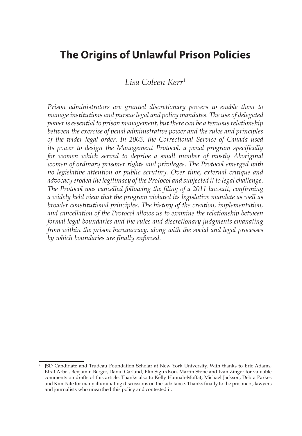# **The Origins of Unlawful Prison Policies**

### *Lisa Coleen Kerr*<sup>1</sup>

*Prison administrators are granted discretionary powers to enable them to manage institutions and pursue legal and policy mandates. The use of delegated power is essential to prison management, but there can be a tenuous relationship between the exercise of penal administrative power and the rules and principles of the wider legal order. In 2003, the Correctional Service of Canada used its power to design the Management Protocol, a penal program specifically for women which served to deprive a small number of mostly Aboriginal women of ordinary prisoner rights and privileges. The Protocol emerged with no legislative attention or public scrutiny. Over time, external critique and advocacy eroded the legitimacy of the Protocol and subjected it to legal challenge. The Protocol was cancelled following the filing of a 2011 lawsuit, confirming a widely held view that the program violated its legislative mandate as well as broader constitutional principles. The history of the creation, implementation, and cancellation of the Protocol allows us to examine the relationship between formal legal boundaries and the rules and discretionary judgments emanating from within the prison bureaucracy, along with the social and legal processes by which boundaries are finally enforced. from within the prison bureaucracy,*

<sup>1</sup> JSD Candidate and Trudeau Foundation Scholar at New York University. With thanks to Eric Adams, Efrat Arbel, Benjamin Berger, David Garland, Elin Sigurdson, Martin Stone and Ivan Zinger for valuable comments on drafts of this article. Thanks also to Kelly Hannah-Moffat, Michael Jackson, Debra Parkes and Kim Pate for many illuminating discussions on the substance. Thanks finally to the prisoners, lawyers and journalists who unearthed this policy and contested it.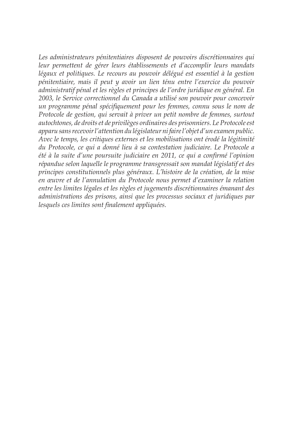*Les administrateurs pénitentiaires disposent de pouvoirs discrétionnaires qui leur permettent de gérer leurs établissements et d'accomplir leurs mandats légaux et politiques. Le recours au pouvoir délégué est essentiel à la gestion pénitentiaire, mais il peut y avoir un lien ténu entre l'exercice du pouvoir administratif pénal et les règles et principes de l'ordre juridique en général. En 2003, le Service correctionnel du Canada a utilisé son pouvoir pour concevoir un programme pénal spécifiquement pour les femmes, connu sous le nom de Protocole de gestion, qui servait à priver un petit nombre de femmes, surtout autochtones, de droits et de privilèges ordinaires des prisonniers. Le Protocole est apparu sans recevoir l'attention du législateur ni faire l'objet d'un examen public. Avec le temps, les critiques externes et les mobilisations ont érodé la légitimité du Protocole, ce qui a donné lieu à sa contestation judiciaire. Le Protocole a été à la suite d'une poursuite judiciaire en 2011, ce qui a confirmé l'opinion répandue selon laquelle le programme transgressait son mandat législatif et des principes constitutionnels plus généraux. L'histoire de la création, de la mise en œuvre et de l'annulation du Protocole nous permet d'examiner la relation entre les limites légales et les règles et jugements discrétionnaires émanant des administrations des prisons, ainsi que les processus sociaux et juridiques par lesquels ces limites sont finalement appliquées.*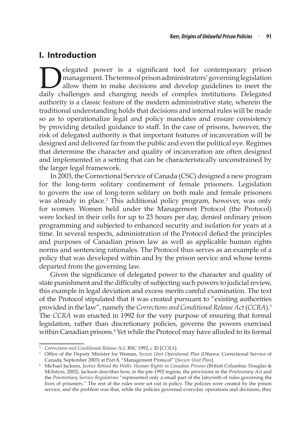## **I. Introduction**

elegated power is a significant tool for contemporary prison<br>management. The terms of prison administrators' governing legislation<br>allow them to make decisions and develop guidelines to meet the<br>daily challenges and changi management. The terms of prison administrators' governing legislation allow them to make decisions and develop guidelines to meet the daily challenges and changing needs of complex institutions. Delegated authority is a classic feature of the modern administrative state, wherein the traditional understanding holds that decisions and internal rules will be made so as to operationalize legal and policy mandates and ensure consistency by providing detailed guidance to staff. In the case of prisons, however, the risk of delegated authority is that important features of incarceration will be designed and delivered far from the public and even the political eye. Regimes that determine the character and quality of incarceration are often designed and implemented in a setting that can be characteristically unconstrained by the larger legal framework.

In 2003, the Correctional Service of Canada (CSC) designed a new program for the long-term solitary confinement of female prisoners. Legislation to govern the use of long-term solitary on both male and female prisoners was already in place.<sup>2</sup> This additional policy program, however, was only for women. Women held under the Management Protocol (the Protocol) were locked in their cells for up to 23 hours per day, denied ordinary prison programming and subjected to enhanced security and isolation for years at a time. In several respects, administration of the Protocol defied the principles and purposes of Canadian prison law as well as applicable human rights norms and sentencing rationales. The Protocol thus serves as an example of a policy that was developed within and by the prison service and whose terms departed from the governing law.

Given the significance of delegated power to the character and quality of state punishment and the difficulty of subjecting such powers to judicial review, this example in legal deviation and excess merits careful examination. The text of the Protocol stipulated that it was created pursuant to "existing authorities provided in the law", namely the *Corrections and Conditional Release Act* (*CCRA*).3 The *CCRA* was enacted in 1992 for the very purpose of ensuring that formal legislation, rather than discretionary policies, governs the powers exercised within Canadian prisons.<sup>4</sup> Yet while the Protocol may have alluded to its formal

<sup>2</sup> *Corrections and Conditional Release Act*, RSC 1992, c 20 [*CCRA*].

<sup>3</sup> Office of the Deputy Minister for Woman, *Secure Unit Operational Plan* (Ottawa: Correctional Service of Canada, September 2003) at Part 8, "Management Protocol" [*Secure Unit Plan*].

<sup>4</sup> Michael Jackson, *Justice Behind the Walls: Human Rights in Canadian Prisons* (British Columbia: Douglas & McIntyre, 2002). Jackson describes how, in the pre-1992 regime, the provisions in the *Penitentiary Act* and the *Penitentiary Service Regulations* "represented only a small part of the labyrinth of rules governing the lives of prisoners." The rest of the rules were set out in policy. The policies were created by the prison service, and the problem was that, while the policies governed everyday operations and decisions, they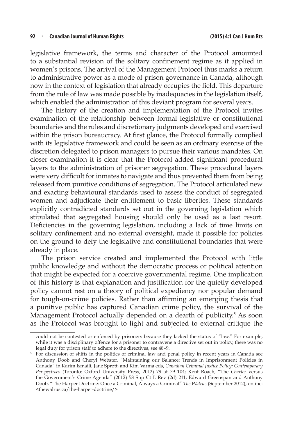legislative framework, the terms and character of the Protocol amounted to a substantial revision of the solitary confinement regime as it applied in women's prisons. The arrival of the Management Protocol thus marks a return to administrative power as a mode of prison governance in Canada, although now in the context of legislation that already occupies the field. This departure from the rule of law was made possible by inadequacies in the legislation itself, which enabled the administration of this deviant program for several years.

The history of the creation and implementation of the Protocol invites examination of the relationship between formal legislative or constitutional boundaries and the rules and discretionary judgments developed and exercised within the prison bureaucracy. At first glance, the Protocol formally complied with its legislative framework and could be seen as an ordinary exercise of the discretion delegated to prison managers to pursue their various mandates. On closer examination it is clear that the Protocol added significant procedural layers to the administration of prisoner segregation. These procedural layers were very difficult for inmates to navigate and thus prevented them from being released from punitive conditions of segregation. The Protocol articulated new and exacting behavioural standards used to assess the conduct of segregated women and adjudicate their entitlement to basic liberties. These standards explicitly contradicted standards set out in the governing legislation which stipulated that segregated housing should only be used as a last resort. Deficiencies in the governing legislation, including a lack of time limits on solitary confinement and no external oversight, made it possible for policies on the ground to defy the legislative and constitutional boundaries that were already in place.

The prison service created and implemented the Protocol with little public knowledge and without the democratic process or political attention that might be expected for a coercive governmental regime. One implication of this history is that explanation and justification for the quietly developed policy cannot rest on a theory of political expediency nor popular demand for tough-on-crime policies. Rather than affirming an emerging thesis that a punitive public has captured Canadian crime policy, the survival of the Management Protocol actually depended on a dearth of publicity.<sup>5</sup> As soon as the Protocol was brought to light and subjected to external critique the

could not be contested or enforced by prisoners because they lacked the status of "law." For example, while it was a disciplinary offence for a prisoner to contravene a directive set out in policy, there was no legal duty for prison staff to adhere to the directives, see 48–9.

<sup>&</sup>lt;sup>5</sup> For discussion of shifts in the politics of criminal law and penal policy in recent years in Canada see Anthony Doob and Cheryl Webster, "Maintaining our Balance: Trends in Imprisonment Policies in Canada" in Karim Ismaili, Jane Sprott, and Kim Varma eds, *Canadian Criminal Justice Policy: Contemporary Perspectives* (Toronto: Oxford University Press, 2012) 79 at 79–104; Kent Roach, "The *Charter* versus the Government's Crime Agenda" (2012) 58 Sup Ct L Rev (2d) 211; Edward Greenspan and Anthony Doob, "The Harper Doctrine: Once a Criminal, Always a Criminal" *The Walrus* (September 2012), online: <thewalrus.ca/the-harper-doctrine/>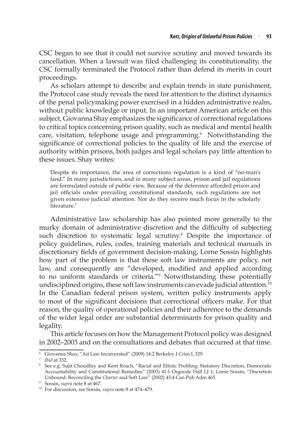CSC began to see that it could not survive scrutiny and moved towards its cancellation. When a lawsuit was filed challenging its constitutionality, the CSC formally terminated the Protocol rather than defend its merits in court proceedings.

As scholars attempt to describe and explain trends in state punishment, the Protocol case study reveals the need for attention to the distinct dynamics of the penal policymaking power exercised in a hidden administrative realm, without public knowledge or input. In an important American article on this subject, Giovanna Shay emphasizes the significance of correctional regulations to critical topics concerning prison quality, such as medical and mental health care, visitation, telephone usage and programming.<sup>6</sup> Notwithstanding the significance of correctional policies to the quality of life and the exercise of authority within prisons, both judges and legal scholars pay little attention to these issues. Shay writes:

Despite its importance, the area of corrections regulation is a kind of "no-man's land." In many jurisdictions, and in many subject areas, prison and jail regulations are formulated outside of public view. Because of the deference afforded prison and jail officials under prevailing constitutional standards, such regulations are not given extensive judicial attention. Nor do they receive much focus in the scholarly literature.<sup>7</sup>

Administrative law scholarship has also pointed more generally to the murky domain of administrative discretion and the difficulty of subjecting such discretion to systematic legal scrutiny.<sup>8</sup> Despite the importance of policy guidelines, rules, codes, training materials and technical manuals in discretionary fields of government decision-making, Lorne Sossin highlights how part of the problem is that these soft law instruments are policy, not law, and consequently are "developed, modified and applied according to no uniform standards or criteria."<sup>9</sup> Notwithstanding these potentially undisciplined origins, these soft law instruments can evade judicial attention.<sup>10</sup> In the Canadian federal prison system, written policy instruments apply to most of the significant decisions that correctional officers make. For that reason, the quality of operational policies and their adherence to the demands of the wider legal order are substantial determinants for prison quality and legality.

This article focuses on how the Management Protocol policy was designed in 2002–2003 and on the consultations and debates that occurred at that time.

<sup>6</sup> Giovanna Shay, "Ad Law Incarcerated" (2009) 14:2 Berkeley J Crim L 329. 7 *Ibid* at 332.

<sup>8</sup> See e.g. Sujit Choudhry and Kent Roach, "Racial and Ethnic Profiling: Statutory Discretion, Democratic Accountability and Constitutional Remedies" (2003) 41:1 Osgoode Hall LJ 1; Lorne Sossin, "Discretion Unbound: Reconciling the *Charter* and Soft Law" (2002) 45:4 Can Pub Adm 465.

<sup>9</sup> Sossin, *supra* note 8 at 467.

<sup>10</sup> For discussion, see Sossin, *supra* note 8 at 474–479.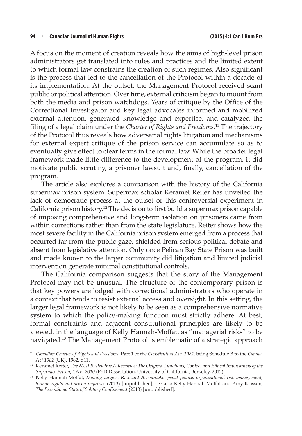A focus on the moment of creation reveals how the aims of high-level prison administrators get translated into rules and practices and the limited extent to which formal law constrains the creation of such regimes. Also significant is the process that led to the cancellation of the Protocol within a decade of its implementation. At the outset, the Management Protocol received scant public or political attention. Over time, external criticism began to mount from both the media and prison watchdogs. Years of critique by the Office of the Correctional Investigator and key legal advocates informed and mobilized external attention, generated knowledge and expertise, and catalyzed the filing of a legal claim under the *Charter of Rights and Freedoms*. 11 The trajectory of the Protocol thus reveals how adversarial rights litigation and mechanisms for external expert critique of the prison service can accumulate so as to eventually give effect to clear terms in the formal law. While the broader legal framework made little difference to the development of the program, it did motivate public scrutiny, a prisoner lawsuit and, finally, cancellation of the program.

The article also explores a comparison with the history of the California supermax prison system. Supermax scholar Keramet Reiter has unveiled the lack of democratic process at the outset of this controversial experiment in California prison history.<sup>12</sup> The decision to first build a supermax prison capable of imposing comprehensive and long-term isolation on prisoners came from within corrections rather than from the state legislature. Reiter shows how the most severe facility in the California prison system emerged from a process that occurred far from the public gaze, shielded from serious political debate and absent from legislative attention. Only once Pelican Bay State Prison was built and made known to the larger community did litigation and limited judicial intervention generate minimal constitutional controls.

The California comparison suggests that the story of the Management Protocol may not be unusual. The structure of the contemporary prison is that key powers are lodged with correctional administrators who operate in a context that tends to resist external access and oversight. In this setting, the larger legal framework is not likely to be seen as a comprehensive normative system to which the policy-making function must strictly adhere. At best, formal constraints and adjacent constitutional principles are likely to be viewed, in the language of Kelly Hannah-Moffat, as "managerial risks" to be navigated.13 The Management Protocol is emblematic of a strategic approach

<sup>11</sup> *Canadian Charter of Rights and Freedoms*, Part 1 of the *Constitution Act, 1982*, being Schedule B to the *Canada Act 1982* (UK), 1982, c 11.

<sup>12</sup> Keramet Reiter, *The Most Restrictive Alternative: The Origins, Functions, Control and Ethical Implications of the Supermax Prison, 1976–2010* (PhD Dissertation, University of California, Berkeley, 2012). 13 Kelly Hannah-Moffat, *Moving targets: Risk and Accountable penal justice: organizational risk management,* 

*human rights and prison inquiries* (2013) [unpublished]; see also Kelly Hannah-Moffat and Amy Klassen, *The Exceptional State of Solitary Confinement* (2013) [unpublished].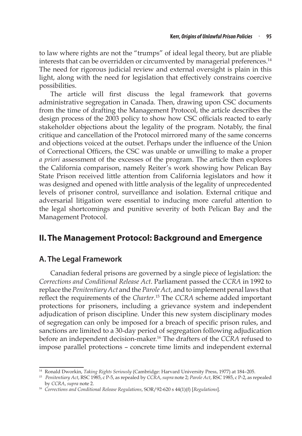to law where rights are not the "trumps" of ideal legal theory, but are pliable interests that can be overridden or circumvented by managerial preferences.<sup>14</sup> The need for rigorous judicial review and external oversight is plain in this light, along with the need for legislation that effectively constrains coercive possibilities.

The article will first discuss the legal framework that governs administrative segregation in Canada. Then, drawing upon CSC documents from the time of drafting the Management Protocol, the article describes the design process of the 2003 policy to show how CSC officials reacted to early stakeholder objections about the legality of the program. Notably, the final critique and cancellation of the Protocol mirrored many of the same concerns and objections voiced at the outset. Perhaps under the influence of the Union of Correctional Officers, the CSC was unable or unwilling to make a proper *a priori* assessment of the excesses of the program. The article then explores the California comparison, namely Reiter's work showing how Pelican Bay State Prison received little attention from California legislators and how it was designed and opened with little analysis of the legality of unprecedented levels of prisoner control, surveillance and isolation. External critique and adversarial litigation were essential to inducing more careful attention to the legal shortcomings and punitive severity of both Pelican Bay and the Management Protocol.

# **II.The Management Protocol: Background and Emergence**

### **A. The Legal Framework**

Canadian federal prisons are governed by a single piece of legislation: the *Corrections and Conditional Release Act*. Parliament passed the *CCRA* in 1992 to replace the *Penitentiary Act* and the *Parole Act*, and to implement penal laws that reflect the requirements of the *Charter*. 15 The *CCRA* scheme added important protections for prisoners, including a grievance system and independent adjudication of prison discipline. Under this new system disciplinary modes of segregation can only be imposed for a breach of specific prison rules, and sanctions are limited to a 30-day period of segregation following adjudication before an independent decision-maker.16 The drafters of the *CCRA* refused to impose parallel protections – concrete time limits and independent external

<sup>14</sup> Ronald Dworkin, *Taking Rights Seriously* (Cambridge: Harvard University Press, 1977) at 184–205.

<sup>15</sup> *Penitentiary Act*, RSC 1985, c P-5, as repealed by *CCRA*, *supra* note 2; *Parole Act*, RSC 1985, c P-2, as repealed by *CCRA*, *supra* note 2.

<sup>16</sup> *Corrections and Conditional Release Regulations*, SOR/92-620 s 44(1)(f) [*Regulations*].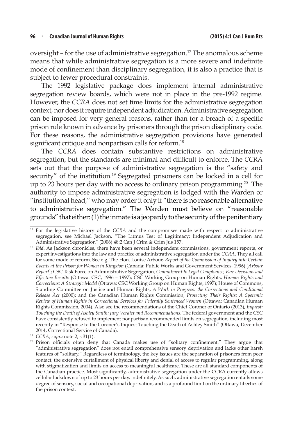oversight - for the use of administrative segregation.<sup>17</sup> The anomalous scheme means that while administrative segregation is a more severe and indefinite mode of confinement than disciplinary segregation, it is also a practice that is subject to fewer procedural constraints.

The 1992 legislative package does implement internal administrative segregation review boards, which were not in place in the pre-1992 regime. However, the *CCRA* does not set time limits for the administrative segregation context, nor does it require independent adjudication. Administrative segregation can be imposed for very general reasons, rather than for a breach of a specific prison rule known in advance by prisoners through the prison disciplinary code. For these reasons, the administrative segregation provisions have generated significant critique and nonpartisan calls for reform.<sup>18</sup>

The *CCRA* does contain substantive restrictions on administrative segregation, but the standards are minimal and difficult to enforce. The *CCRA* sets out that the purpose of administrative segregation is the "safety and security" of the institution.<sup>19</sup> Segregated prisoners can be locked in a cell for up to 23 hours per day with no access to ordinary prison programming.<sup>20</sup> The authority to impose administrative segregation is lodged with the Warden or "institutional head," who may order it only if "there is no reasonable alternative to administrative segregation." The Warden must believe on "reasonable grounds" that either: (1) the inmate is a jeopardy to the security of the penitentiary

<sup>17</sup> For the legislative history of the *CCRA* and the compromises made with respect to administrative segregation, see Michael Jackson, "The Litmus Test of Legitimacy: Independent Adjudication and Administrative Segregation" (2006) 48:2 Can J Crim & Crim Jus 157.

<sup>&</sup>lt;sup>18</sup> *Ibid*. As Jackson chronicles, there have been several independent commissions, government reports, or expert investigations into the law and practice of administrative segregation under the *CCRA*. They all call for some mode of reform. See e.g. The Hon. Louise Arbour, *Report of the Commission of Inquiry into Certain Events at the Prison for Women in Kingston* (Canada: Public Works and Government Services, 1996) [*Arbour Report*]; CSC Task Force on Administrative Segregation, *Commitment to Legal Compliance, Fair Decisions and Effective Results* (Ottawa: CSC, 1996 – 1997); CSC Working Group on Human Rights, *Human Rights and Corrections: A Strategic Model* (Ottawa: CSC Working Group on Human Rights, 1997); House of Commons, Standing Committee on Justice and Human Rights, *A Work in Progress: the Corrections and Conditional Release Act* (2000); and the Canadian Human Rights Commission, *Protecting Their Rights: A Systemic Review of Human Rights in Correctional Services for Federally Sentenced Women* (Ottawa: Canadian Human Rights Commission, 2004). Also see the recommendations of the Chief Coroner of Ontario (2013), *Inquest: Touching the Death of Ashley Smith: Jury Verdict and Recommendations*. The federal government and the CSC have consistently refused to implement nonpartisan recommended limits on segregation, including most recently in "Response to the Coroner's Inquest Touching the Death of Ashley Smith" (Ottawa, December

<sup>2014,</sup> Correctional Service of Canada).<br><sup>19</sup> CCRA, *supra* note 2, s 31(1).

<sup>&</sup>lt;sup>20</sup> Prison officials often deny that Canada makes use of "solitary confinement." They argue that "administrative segregation" does not entail comprehensive sensory deprivation and lacks other harsh features of "solitary." Regardless of terminology, the key issues are the separation of prisoners from peer contact, the extensive curtailment of physical liberty and denial of access to regular programming, along with stigmatization and limits on access to meaningful healthcare. These are all standard components of the Canadian practice. Most significantly, administrative segregation under the CCRA currently allows cellular lockdown of up to 23 hours per day, indefinitely. As such, administrative segregation entails some degree of sensory, social and occupational deprivation, and is a profound limit on the ordinary liberties of the prison context.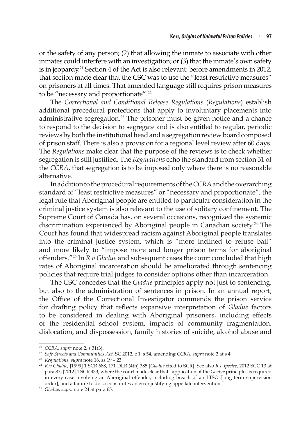or the safety of any person; (2) that allowing the inmate to associate with other inmates could interfere with an investigation; or (3) that the inmate's own safety is in jeopardy.<sup>21</sup> Section 4 of the Act is also relevant: before amendments in 2012, that section made clear that the CSC was to use the "least restrictive measures" on prisoners at all times. That amended language still requires prison measures to be "necessary and proportionate".<sup>22</sup>

The *Correctional and Conditional Release Regulations* (*Regulations*) establish additional procedural protections that apply to involuntary placements into administrative segregation.<sup>23</sup> The prisoner must be given notice and a chance to respond to the decision to segregate and is also entitled to regular, periodic reviews by both the institutional head and a segregation review board composed of prison staff. There is also a provision for a regional level review after 60 days. The *Regulations* make clear that the purpose of the reviews is to check whether segregation is still justified. The *Regulations* echo the standard from section 31 of the *CCRA*, that segregation is to be imposed only where there is no reasonable alternative.

In addition to the procedural requirements of the *CCRA* and the overarching standard of "least restrictive measures" or "necessary and proportionate", the legal rule that Aboriginal people are entitled to particular consideration in the criminal justice system is also relevant to the use of solitary confinement. The Supreme Court of Canada has, on several occasions, recognized the systemic discrimination experienced by Aboriginal people in Canadian society.<sup>24</sup> The Court has found that widespread racism against Aboriginal people translates into the criminal justice system, which is "more inclined to refuse bail" and more likely to "impose more and longer prison terms for aboriginal offenders."<sup>25</sup> In *R v Gladue* and subsequent cases the court concluded that high rates of Aboriginal incarceration should be ameliorated through sentencing policies that require trial judges to consider options other than incarceration.

The CSC concedes that the *Gladue* principles apply not just to sentencing, but also to the administration of sentences in prison. In an annual report, the Office of the Correctional Investigator commends the prison service for drafting policy that reflects expansive interpretation of *Gladue* factors to be considered in dealing with Aboriginal prisoners, including effects of the residential school system, impacts of community fragmentation, dislocation, and dispossession, family histories of suicide, alcohol abuse and

<sup>21</sup> *CCRA*, *supra* note 2, s 31(3).

<sup>22</sup> *Safe Streets and Communities Act*, SC 2012, c 1, s 54, amending *CCRA*, *supra* note 2 at s 4. 23 *Regulations*, *supra* note 16, ss 19 – 23.

<sup>24</sup> *R v Gladue*, [1999] 1 SCR 688, 171 DLR (4th) 385 [*Gladue* cited to SCR]. See also *R v Ipeelee*, 2012 SCC 13 at para 87, [2012] 1 SCR 433, where the court made clear that "application of the *Gladue* principles is required in every case involving an Aboriginal offender, including breach of an LTSO [long term supervision order], and a failure to do so constitutes an error justifying appellate intervention."

<sup>25</sup> *Gladue*, *supra* note 24 at para 65.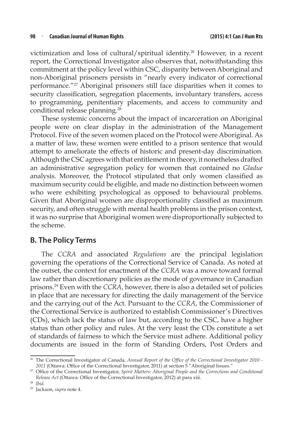victimization and loss of cultural/spiritual identity.26 However, in a recent report, the Correctional Investigator also observes that, notwithstanding this commitment at the policy level within CSC, disparity between Aboriginal and non-Aboriginal prisoners persists in "nearly every indicator of correctional performance."27 Aboriginal prisoners still face disparities when it comes to security classification, segregation placements, involuntary transfers, access to programming, penitentiary placements, and access to community and conditional release planning.<sup>28</sup>

These systemic concerns about the impact of incarceration on Aboriginal people were on clear display in the administration of the Management Protocol. Five of the seven women placed on the Protocol were Aboriginal. As a matter of law, these women were entitled to a prison sentence that would attempt to ameliorate the effects of historic and present-day discrimination. Although the CSC agrees with that entitlement in theory, it nonetheless drafted an administrative segregation policy for women that contained no *Gladue*  analysis. Moreover, the Protocol stipulated that only women classified as maximum security could be eligible, and made no distinction between women who were exhibiting psychological as opposed to behavioural problems. Given that Aboriginal women are disproportionality classified as maximum security, and often struggle with mental health problems in the prison context, it was no surprise that Aboriginal women were disproportionally subjected to the scheme.

### **B. The Policy Terms**

The *CCRA* and associated *Regulations* are the principal legislation governing the operations of the Correctional Service of Canada. As noted at the outset, the context for enactment of the *CCRA* was a move toward formal law rather than discretionary policies as the mode of governance in Canadian prisons.29 Even with the *CCRA*, however, there is also a detailed set of policies in place that are necessary for directing the daily management of the Service and the carrying out of the Act. Pursuant to the *CCRA*, the Commissioner of the Correctional Service is authorized to establish Commissioner's Directives (CDs), which lack the status of law but, according to the CSC, have a higher status than other policy and rules. At the very least the CDs constitute a set of standards of fairness to which the Service must adhere. Additional policy documents are issued in the form of Standing Orders, Post Orders and

<sup>&</sup>lt;sup>26</sup> The Correctional Investigator of Canada, *Annual Report of the Office of the Correctional Investigator 2010 -2011* (Ottawa: Office of the Correctional Investigator, 2011) at section 5 "Aboriginal Issues."

<sup>27</sup> Office of the Correctional Investigator, *Spirit Matters: Aboriginal People and the Corrections and Conditional Release Act* (Ottawa: Office of the Correctional Investigator, 2012) at para xiii.

<sup>28</sup> *Ibid*.

<sup>29</sup> Jackson, *supra* note 4.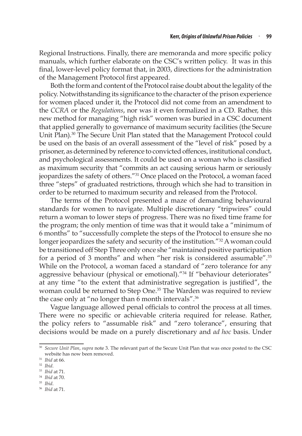Regional Instructions. Finally, there are memoranda and more specific policy manuals, which further elaborate on the CSC's written policy. It was in this final, lower-level policy format that, in 2003, directions for the administration of the Management Protocol first appeared.

Both the form and content of the Protocol raise doubt about the legality of the policy. Notwithstanding its significance to the character of the prison experience for women placed under it, the Protocol did not come from an amendment to the *CCRA* or the *Regulations*, nor was it even formalized in a CD. Rather, this new method for managing "high risk" women was buried in a CSC document that applied generally to governance of maximum security facilities (the Secure Unit Plan).<sup>30</sup> The Secure Unit Plan stated that the Management Protocol could be used on the basis of an overall assessment of the "level of risk" posed by a prisoner, as determined by reference to convicted offences, institutional conduct, and psychological assessments. It could be used on a woman who is classified as maximum security that "commits an act causing serious harm or seriously jeopardizes the safety of others."<sup>31</sup> Once placed on the Protocol, a woman faced three "steps" of graduated restrictions, through which she had to transition in order to be returned to maximum security and released from the Protocol.

The terms of the Protocol presented a maze of demanding behavioural standards for women to navigate. Multiple discretionary "tripwires" could return a woman to lower steps of progress. There was no fixed time frame for the program; the only mention of time was that it would take a "minimum of 6 months" to "successfully complete the steps of the Protocol to ensure she no longer jeopardizes the safety and security of the institution.<sup>"32</sup> A woman could be transitioned off Step Three only once she "maintained positive participation for a period of 3 months" and when "her risk is considered assumable".<sup>33</sup> While on the Protocol, a woman faced a standard of "zero tolerance for any aggressive behaviour (physical or emotional)."<sup>34</sup> If "behaviour deteriorates" at any time "to the extent that administrative segregation is justified", the woman could be returned to Step One.<sup>35</sup> The Warden was required to review the case only at "no longer than 6 month intervals".<sup>36</sup>

Vague language allowed penal officials to control the process at all times. There were no specific or achievable criteria required for release. Rather, the policy refers to "assumable risk" and "zero tolerance", ensuring that decisions would be made on a purely discretionary and *ad hoc* basis. Under

<sup>30</sup> *Secure Unit Plan*, *supra* note 3. The relevant part of the Secure Unit Plan that was once posted to the CSC website has now been removed.<br><sup>31</sup> *Ihid* at 66.

<sup>31</sup> *Ibid* at 66. 32 *Ibid*. 33 *Ibid* at 71.

<sup>34</sup> *Ibid* at 70.

<sup>35</sup> *Ibid*. 36 *Ibid* at 71.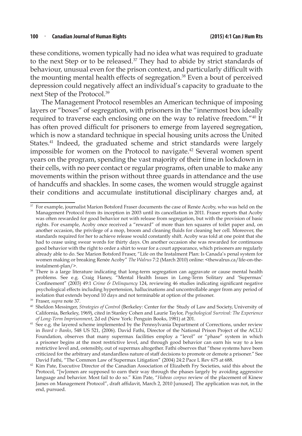these conditions, women typically had no idea what was required to graduate to the next Step or to be released.37 They had to abide by strict standards of behaviour, unusual even for the prison context, and particularly difficult with the mounting mental health effects of segregation.<sup>38</sup> Even a bout of perceived depression could negatively affect an individual's capacity to graduate to the next Step of the Protocol.39

The Management Protocol resembles an American technique of imposing layers or "boxes" of segregation, with prisoners in the "innermost box ideally required to traverse each enclosing one on the way to relative freedom."40 It has often proved difficult for prisoners to emerge from layered segregation, which is now a standard technique in special housing units across the United States.<sup>41</sup> Indeed, the graduated scheme and strict standards were largely impossible for women on the Protocol to navigate.<sup>42</sup> Several women spent years on the program, spending the vast majority of their time in lockdown in their cells, with no peer contact or regular programs, often unable to make any movements within the prison without three guards in attendance and the use of handcuffs and shackles. In some cases, the women would struggle against their conditions and accumulate institutional disciplinary charges and, at

<sup>&</sup>lt;sup>37</sup> For example, journalist Marion Botsford Fraser documents the case of Renée Acoby, who was held on the Management Protocol from its inception in 2003 until its cancellation in 2011. Fraser reports that Acoby was often rewarded for good behavior not with release from segregation, but with the provision of basic rights. For example, Acoby once received a "reward" of more than ten squares of toilet paper and, on another occasion, the privilege of a mop, broom and cleaning fluids for cleaning her cell. Moreover, the standards required for her to achieve release would constantly shift. Acoby was told at one point that she had to cease using swear words for thirty days. On another occasion she was rewarded for continuous good behavior with the right to order a shirt to wear for a court appearance, which prisoners are regularly already able to do. See Marion Botsford Fraser, "Life on the Instalment Plan: Is Canada's penal system for women making or breaking Renée Acoby" *The Walrus* 7:2 (March 2010) online: <thewalrus.ca/life-on-theinstalment-plan/>.

<sup>&</sup>lt;sup>38</sup> There is a large literature indicating that long-term segregation can aggravate or cause mental health problems. See e.g. Craig Haney, "Mental Health Issues in Long-Term Solitary and 'Supermax' Confinement" (2003) 49:1 *Crime & Delinquency* 124, reviewing 46 studies indicating significant negative psychological effects including hypertension, hallucinations and uncontrollable anger from any period of isolation that extends beyond 10 days and not terminable at option of the prisoner.

<sup>39</sup> Fraser, *supra* note 37.

<sup>40</sup> Sheldon Messinger, *Strategies of Control* (Berkeley: Center for the Study of Law and Society, University of California, Berkeley, 1969), cited in Stanley Cohen and Laurie Taylor, *Psychological Survival: The Experience of Long-Term Imprisonment*, 2d ed (New York: Penguin Books, 1981) at 201.

<sup>&</sup>lt;sup>41</sup> See e.g. the layered scheme implemented by the Pennsylvania Department of Corrections, under review in *Beard v Banks*, 548 US 521, (2006). David Fathi, Director of the National Prison Project of the ACLU Foundation, observes that many supermax facilities employ a "level" or "phase" system in which a prisoner begins at the most restrictive level, and through good behavior can earn his way to a less restrictive level and, ostensibly, out of supermax altogether. Fathi observes that "these systems have been criticized for the arbitrary and standardless nature of staff decisions to promote or demote a prisoner." See David Fathi, "The Common Law of Supermax Litigation" (2004) 24:2 Pace L Rev 675 at 688.

<sup>42</sup> Kim Pate, Executive Director of the Canadian Association of Elizabeth Fry Societies, said this about the Protocol, "[w]omen are supposed to earn their way through the phases largely by avoiding aggressive language and behavior. Most fail to do so." Kim Pate, "*Habeas corpus* review of the placement of Kinew James on Management Protocol", draft affidavit, March 2, 2010 [unused]. The application was not, in the end, pursued.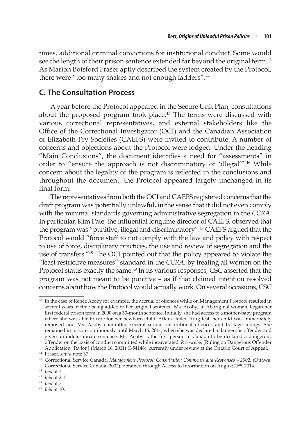times, additional criminal convictions for institutional conduct. Some would see the length of their prison sentence extended far beyond the original term.<sup>43</sup> As Marion Botsford Fraser aptly described the system created by the Protocol, there were "too many snakes and not enough ladders".<sup>44</sup>

### **C. The Consultation Process**

A year before the Protocol appeared in the Secure Unit Plan, consultations about the proposed program took place.<sup>45</sup> The terms were discussed with various correctional representatives, and external stakeholders like the Office of the Correctional Investigator (OCI) and the Canadian Association of Elizabeth Fry Societies (CAEFS) were invited to contribute. A number of concerns and objections about the Protocol were lodged. Under the heading "Main Conclusions", the document identifies a need for "assessments" in order to "ensure the approach is not discriminatory or 'illegal'".46 While concern about the legality of the program is reflected in the conclusions and throughout the document, the Protocol appeared largely unchanged in its final form.

The representatives from both the OCI and CAEFS registered concerns that the draft program was potentially unlawful, in the sense that it did not even comply with the minimal standards governing administrative segregation in the *CCRA*. In particular, Kim Pate, the influential longtime director of CAEFS, observed that the program was "punitive, illegal and discriminatory".47 CAEFS argued that the Protocol would "force staff to not comply with the law and policy with respect to use of force, disciplinary practices, the use and review of segregation and the use of transfers."48 The OCI pointed out that the policy appeared to violate the "least restrictive measures" standard in the *CCRA*, by treating all women on the Protocol status exactly the same.<sup>49</sup> In its various responses, CSC asserted that the program was not meant to be punitive – as if that claimed intention resolved concerns about how the Protocol would actually work. On several occasions, CSC

<sup>43</sup> In the case of Renée Acoby for example, the accrual of offences while on Management Protocol resulted in several years of time being added to her original sentence. Ms. Acoby, an Aboriginal woman, began her first federal prison term in 2000 on a 30-month sentence. Initially, she had access to a mother-baby program where she was able to care for her newborn child. After a failed drug test, her child was immediately removed and Ms. Acoby committed several serious institutional offences and hostage-takings. She remained in prison continuously until March 16, 2011, when she was declared a dangerous offender and given an indeterminate sentence. Ms. Acoby is the first person in Canada to be declared a dangerous offender on the basis of conduct committed while incarcerated: *R v Acoby*, (Ruling on Dangerous Offender Application, Taylor J (March 16, 2011) C-54146), currently under review at the Ontario Court of Appeal.

<sup>44</sup> Fraser, *supra* note 37.

<sup>45</sup> Correctional Service Canada, *Management Protocol: Consultation Comments and Responses – 2002*, (Ottawa: Correctional Service Canada, 2002), obtained through Access to Information on August 26<sup>th</sup>, 2014.

<sup>46</sup> *Ibid* at 1.

<sup>47</sup> *Ibid* at 2-3.

<sup>48</sup> *Ibid* at 7.

<sup>49</sup> *Ibid* at 10.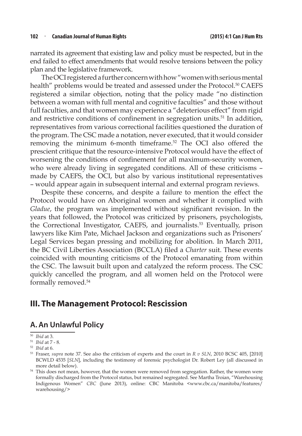narrated its agreement that existing law and policy must be respected, but in the end failed to effect amendments that would resolve tensions between the policy plan and the legislative framework.

The OCI registered a further concern with how "women with serious mental health" problems would be treated and assessed under the Protocol.<sup>50</sup> CAEFS registered a similar objection, noting that the policy made "no distinction between a woman with full mental and cognitive faculties" and those without full faculties, and that women may experience a "deleterious effect" from rigid and restrictive conditions of confinement in segregation units.<sup>51</sup> In addition, representatives from various correctional facilities questioned the duration of the program. The CSC made a notation, never executed, that it would consider removing the minimum 6-month timeframe.52 The OCI also offered the prescient critique that the resource-intensive Protocol would have the effect of worsening the conditions of confinement for all maximum-security women, who were already living in segregated conditions. All of these criticisms made by CAEFS, the OCI, but also by various institutional representatives – would appear again in subsequent internal and external program reviews.

Despite these concerns, and despite a failure to mention the effect the Protocol would have on Aboriginal women and whether it complied with *Gladue*, the program was implemented without significant revision. In the years that followed, the Protocol was criticized by prisoners, psychologists, the Correctional Investigator, CAEFS, and journalists.<sup>53</sup> Eventually, prison lawyers like Kim Pate, Michael Jackson and organizations such as Prisoners' Legal Services began pressing and mobilizing for abolition. In March 2011, the BC Civil Liberties Association (BCCLA) filed a *Charter* suit. These events coincided with mounting criticisms of the Protocol emanating from within the CSC. The lawsuit built upon and catalyzed the reform process. The CSC quickly cancelled the program, and all women held on the Protocol were formally removed.54

# **III. The Management Protocol: Rescission**

### **A. An Unlawful Policy**

<sup>50</sup> *Ibid* at 3.

<sup>51</sup> *Ibid* at 7 - 8.

<sup>&</sup>lt;sup>53</sup> Fraser, *supra* note 37. See also the criticism of experts and the court in *R v SLN*, 2010 BCSC 405, [2010] BCWLD 4535 [*SLN*], including the testimony of forensic psychologist Dr. Robert Ley (all discussed in

more detail below).<br><sup>54</sup> This does not mean, however, that the women were removed from segregation. Rather, the women were formally discharged from the Protocol status, but remained segregated. See Martha Troian, "Warehousing Indigenous Women" *CBC* (June 2013), online: CBC Manitoba <www.cbc.ca/manitoba/features/ warehousing/>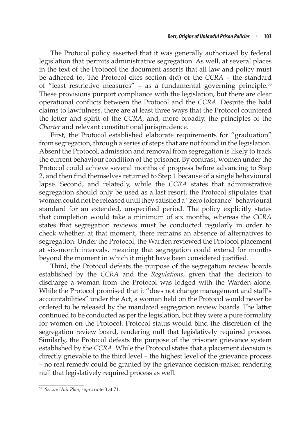The Protocol policy asserted that it was generally authorized by federal legislation that permits administrative segregation. As well, at several places in the text of the Protocol the document asserts that all law and policy must be adhered to. The Protocol cites section 4(d) of the *CCRA* – the standard of "least restrictive measures" – as a fundamental governing principle.<sup>55</sup> These provisions purport compliance with the legislation, but there are clear operational conflicts between the Protocol and the *CCRA*. Despite the bald claims to lawfulness, there are at least three ways that the Protocol countered the letter and spirit of the *CCRA*, and, more broadly, the principles of the *Charter* and relevant constitutional jurisprudence.

First, the Protocol established elaborate requirements for "graduation" from segregation, through a series of steps that are not found in the legislation. Absent the Protocol, admission and removal from segregation is likely to track the current behaviour condition of the prisoner. By contrast, women under the Protocol could achieve several months of progress before advancing to Step 2, and then find themselves returned to Step 1 because of a single behavioural lapse. Second, and relatedly, while the *CCRA* states that administrative segregation should only be used as a last resort, the Protocol stipulates that women could not be released until they satisfied a "zero tolerance" behavioural standard for an extended, unspecified period. The policy explicitly states that completion would take a minimum of six months, whereas the *CCRA* states that segregation reviews must be conducted regularly in order to check whether, at that moment, there remains an absence of alternatives to segregation. Under the Protocol, the Warden reviewed the Protocol placement at six-month intervals, meaning that segregation could extend for months beyond the moment in which it might have been considered justified.

Third, the Protocol defeats the purpose of the segregation review boards established by the *CCRA* and the *Regulations*, given that the decision to discharge a woman from the Protocol was lodged with the Warden alone. While the Protocol promised that it "does not change management and staff's accountabilities" under the Act, a woman held on the Protocol would never be ordered to be released by the mandated segregation review boards. The latter continued to be conducted as per the legislation, but they were a pure formality for women on the Protocol. Protocol status would bind the discretion of the segregation review board, rendering null that legislatively required process. Similarly, the Protocol defeats the purpose of the prisoner grievance system established by the *CCRA*. While the Protocol states that a placement decision is directly grievable to the third level – the highest level of the grievance process – no real remedy could be granted by the grievance decision-maker, rendering null that legislatively required process as well.

<sup>55</sup> *Secure Unit Plan*, *supra* note 3 at 71.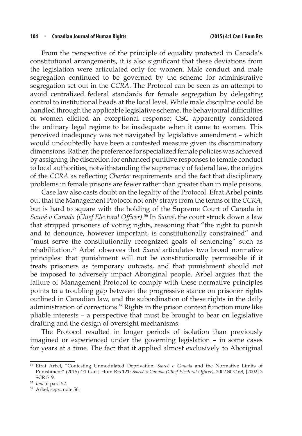From the perspective of the principle of equality protected in Canada's constitutional arrangements, it is also significant that these deviations from the legislation were articulated only for women. Male conduct and male segregation continued to be governed by the scheme for administrative segregation set out in the *CCRA*. The Protocol can be seen as an attempt to avoid centralized federal standards for female segregation by delegating control to institutional heads at the local level. While male discipline could be handled through the applicable legislative scheme, the behavioural difficulties of women elicited an exceptional response; CSC apparently considered the ordinary legal regime to be inadequate when it came to women. This perceived inadequacy was not navigated by legislative amendment – which would undoubtedly have been a contested measure given its discriminatory dimensions. Rather, the preference for specialized female policies was achieved by assigning the discretion for enhanced punitive responses to female conduct to local authorities, notwithstanding the supremacy of federal law, the origins of the *CCRA* as reflecting *Charter* requirements and the fact that disciplinary problems in female prisons are fewer rather than greater than in male prisons.

Case law also casts doubt on the legality of the Protocol. Efrat Arbel points out that the Management Protocol not only strays from the terms of the *CCRA*, but is hard to square with the holding of the Supreme Court of Canada in *Sauvé v Canada (Chief Electoral Officer)*. 56 In *Sauvé*, the court struck down a law that stripped prisoners of voting rights, reasoning that "the right to punish and to denounce, however important, is constitutionally constrained" and "must serve the constitutionally recognized goals of sentencing" such as rehabilitation.<sup>57</sup> Arbel observes that *Sauvé* articulates two broad normative principles: that punishment will not be constitutionally permissible if it treats prisoners as temporary outcasts, and that punishment should not be imposed to adversely impact Aboriginal people. Arbel argues that the failure of Management Protocol to comply with these normative principles points to a troubling gap between the progressive stance on prisoner rights outlined in Canadian law, and the subordination of these rights in the daily administration of corrections.<sup>58</sup> Rights in the prison context function more like pliable interests – a perspective that must be brought to bear on legislative drafting and the design of oversight mechanisms.

The Protocol resulted in longer periods of isolation than previously imagined or experienced under the governing legislation – in some cases for years at a time. The fact that it applied almost exclusively to Aboriginal

<sup>56</sup> Efrat Arbel, "Contesting Unmodulated Deprivation: *Sauvé v Canada* and the Normative Limits of Punishment" (2015) 4:1 Can J Hum Rts 121; *Sauvé v Canada (Chief Electoral Officer)*, 2002 SCC 68, [2002] 3 SCR 519.<br><sup>57</sup> *Ibid* at para 52.

<sup>&</sup>lt;sup>58</sup> Arbel, *supra* note 56.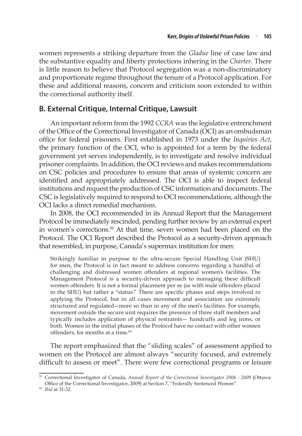women represents a striking departure from the *Gladue* line of case law and the substantive equality and liberty protections inhering in the *Charter*. There is little reason to believe that Protocol segregation was a non-discriminatory and proportionate regime throughout the tenure of a Protocol application. For these and additional reasons, concern and criticism soon extended to within the correctional authority itself.

### **B. External Critique, Internal Critique, Lawsuit**

An important reform from the 1992 *CCRA* was the legislative entrenchment of the Office of the Correctional Investigator of Canada (OCI) as an ombudsman office for federal prisoners. First established in 1973 under the *Inquiries Act*, the primary function of the OCI, who is appointed for a term by the federal government yet serves independently, is to investigate and resolve individual prisoner complaints. In addition, the OCI reviews and makes recommendations on CSC policies and procedures to ensure that areas of systemic concern are identified and appropriately addressed. The OCI is able to inspect federal institutions and request the production of CSC information and documents. The CSC is legislatively required to respond to OCI recommendations, although the OCI lacks a direct remedial mechanism.

In 2008, the OCI recommended in its Annual Report that the Management Protocol be immediately rescinded, pending further review by an external expert in women's corrections.<sup>59</sup> At that time, seven women had been placed on the Protocol. The OCI Report described the Protocol as a security-driven approach that resembled, in purpose, Canada's supermax institution for men:

Strikingly familiar in purpose to the ultra-secure Special Handling Unit (SHU) for men, the Protocol is in fact meant to address concerns regarding a handful of challenging and distressed women offenders at regional women's facilities. The Management Protocol is a security-driven approach to managing these difficult women offenders. It is not a formal placement per se (as with male offenders placed in the SHU) but rather a "status." There are specific phases and steps involved in applying the Protocol, but in all cases movement and association are extremely structured and regulated—more so than in any of the men's facilities. For example, movement outside the secure unit requires the presence of three staff members and typically includes application of physical restraints— handcuffs and leg irons, or both. Women in the initial phases of the Protocol have no contact with other women offenders, for months at a time.<sup>60</sup>

The report emphasized that the "sliding scales" of assessment applied to women on the Protocol are almost always "security focused, and extremely difficult to assess or meet". There were few correctional programs or leisure

<sup>59</sup> Correctional Investigator of Canada, *Annual Report of the Correctional Investigator 2008 - 2009* (Ottawa: Office of the Correctional Investigator, 2009) at Section 7, "Federally Sentenced Women".

<sup>60</sup> *Ibid* at 31-32.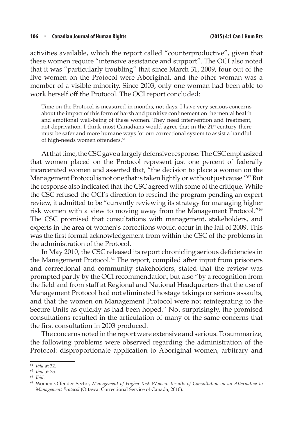activities available, which the report called "counterproductive", given that these women require "intensive assistance and support". The OCI also noted that it was "particularly troubling" that since March 31, 2009, four out of the five women on the Protocol were Aboriginal, and the other woman was a member of a visible minority. Since 2003, only one woman had been able to work herself off the Protocol. The OCI report concluded:

Time on the Protocol is measured in months, not days. I have very serious concerns about the impact of this form of harsh and punitive confinement on the mental health and emotional well-being of these women. They need intervention and treatment, not deprivation. I think most Canadians would agree that in the 21<sup>st</sup> century there must be safer and more humane ways for our correctional system to assist a handful of high-needs women offenders.<sup>61</sup>

At that time, the CSC gave a largely defensive response. The CSC emphasized that women placed on the Protocol represent just one percent of federally incarcerated women and asserted that, "the decision to place a woman on the Management Protocol is not one that is taken lightly or without just cause."62 But the response also indicated that the CSC agreed with some of the critique. While the CSC refused the OCI's direction to rescind the program pending an expert review, it admitted to be "currently reviewing its strategy for managing higher risk women with a view to moving away from the Management Protocol."<sup>63</sup> The CSC promised that consultations with management, stakeholders, and experts in the area of women's corrections would occur in the fall of 2009. This was the first formal acknowledgement from within the CSC of the problems in the administration of the Protocol.

In May 2010, the CSC released its report chronicling serious deficiencies in the Management Protocol.<sup>64</sup> The report, compiled after input from prisoners and correctional and community stakeholders, stated that the review was prompted partly by the OCI recommendation, but also "by a recognition from the field and from staff at Regional and National Headquarters that the use of Management Protocol had not eliminated hostage takings or serious assaults, and that the women on Management Protocol were not reintegrating to the Secure Units as quickly as had been hoped." Not surprisingly, the promised consultations resulted in the articulation of many of the same concerns that the first consultation in 2003 produced.

The concerns noted in the report were extensive and serious. To summarize, the following problems were observed regarding the administration of the Protocol: disproportionate application to Aboriginal women; arbitrary and

<sup>61</sup> *Ibid* at 32. 62 *Ibid* at 75.

<sup>63</sup> *Ibid*.

<sup>64</sup> Women Offender Sector, *Management of Higher-Risk Women: Results of Consultation on an Alternative to Management Protocol* (Ottawa: Correctional Service of Canada, 2010).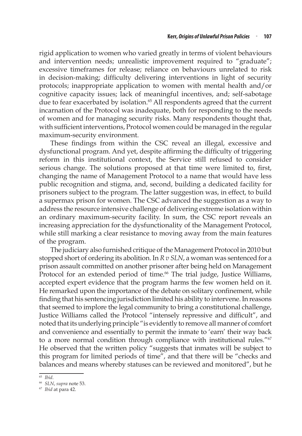rigid application to women who varied greatly in terms of violent behaviours and intervention needs; unrealistic improvement required to "graduate"; excessive timeframes for release; reliance on behaviours unrelated to risk in decision-making; difficulty delivering interventions in light of security protocols; inappropriate application to women with mental health and/or cognitive capacity issues; lack of meaningful incentives, and; self-sabotage due to fear exacerbated by isolation.<sup>65</sup> All respondents agreed that the current incarnation of the Protocol was inadequate, both for responding to the needs of women and for managing security risks. Many respondents thought that, with sufficient interventions, Protocol women could be managed in the regular maximum-security environment.

These findings from within the CSC reveal an illegal, excessive and dysfunctional program. And yet, despite affirming the difficulty of triggering reform in this institutional context, the Service still refused to consider serious change. The solutions proposed at that time were limited to, first, changing the name of Management Protocol to a name that would have less public recognition and stigma, and, second, building a dedicated facility for prisoners subject to the program. The latter suggestion was, in effect, to build a supermax prison for women. The CSC advanced the suggestion as a way to address the resource intensive challenge of delivering extreme isolation within an ordinary maximum-security facility. In sum, the CSC report reveals an increasing appreciation for the dysfunctionality of the Management Protocol, while still marking a clear resistance to moving away from the main features of the program.

The judiciary also furnished critique of the Management Protocol in 2010 but stopped short of ordering its abolition. In *R v SLN*, a woman was sentenced for a prison assault committed on another prisoner after being held on Management Protocol for an extended period of time.<sup>66</sup> The trial judge, Justice Williams, accepted expert evidence that the program harms the few women held on it. He remarked upon the importance of the debate on solitary confinement, while finding that his sentencing jurisdiction limited his ability to intervene. In reasons that seemed to implore the legal community to bring a constitutional challenge, Justice Williams called the Protocol "intensely repressive and difficult", and noted that its underlying principle "is evidently to remove all manner of comfort and convenience and essentially to permit the inmate to 'earn' their way back to a more normal condition through compliance with institutional rules."<sup>67</sup> He observed that the written policy "suggests that inmates will be subject to this program for limited periods of time", and that there will be "checks and balances and means whereby statuses can be reviewed and monitored", but he

<sup>65</sup> *Ibid*. 66 *SLN*, *supra* note 53.

<sup>67</sup> *Ibid* at para 42.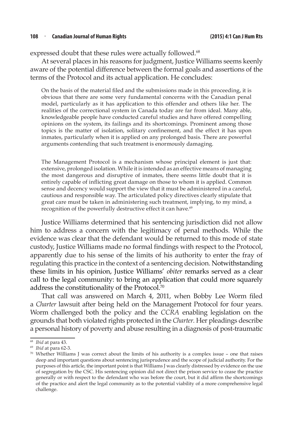#### **108** <sup>n</sup> **Canadian Journal of Human Rights (2015) 4:1 Can J Hum Rts**

expressed doubt that these rules were actually followed.<sup>68</sup>

At several places in his reasons for judgment, Justice Williams seems keenly aware of the potential difference between the formal goals and assertions of the terms of the Protocol and its actual application. He concludes:

On the basis of the material filed and the submissions made in this proceeding, it is obvious that there are some very fundamental concerns with the Canadian penal model, particularly as it has application to this offender and others like her. The realities of the correctional system in Canada today are far from ideal. Many able, knowledgeable people have conducted careful studies and have offered compelling opinions on the system, its failings and its shortcomings. Prominent among those topics is the matter of isolation, solitary confinement, and the effect it has upon inmates, particularly when it is applied on any prolonged basis. There are powerful arguments contending that such treatment is enormously damaging.

The Management Protocol is a mechanism whose principal element is just that: extensive, prolonged isolation. While it is intended as an effective means of managing the most dangerous and disruptive of inmates, there seems little doubt that it is entirely capable of inflicting great damage on those to whom it is applied. Common sense and decency would support the view that it must be administered in a careful, cautious and responsible way. The articulated policy directives clearly stipulate that great care must be taken in administering such treatment, implying, to my mind, a recognition of the powerfully destructive effect it can have.<sup>69</sup>

Justice Williams determined that his sentencing jurisdiction did not allow him to address a concern with the legitimacy of penal methods. While the evidence was clear that the defendant would be returned to this mode of state custody, Justice Williams made no formal findings with respect to the Protocol, apparently due to his sense of the limits of his authority to enter the fray of regulating this practice in the context of a sentencing decision. Notwithstanding these limits in his opinion, Justice Williams' *obiter* remarks served as a clear call to the legal community: to bring an application that could more squarely address the constitutionality of the Protocol.<sup>70</sup>

That call was answered on March 4, 2011, when Bobby Lee Worm filed a *Charter* lawsuit after being held on the Management Protocol for four years. Worm challenged both the policy and the *CCRA* enabling legislation on the grounds that both violated rights protected in the *Charter.* Her pleadings describe a personal history of poverty and abuse resulting in a diagnosis of post-traumatic

<sup>68</sup> *Ibid* at para 43.

<sup>69</sup> *Ibid* at para 62-3.

<sup>70</sup> Whether Williams J was correct about the limits of his authority is a complex issue – one that raises deep and important questions about sentencing jurisprudence and the scope of judicial authority. For the purposes of this article, the important point is that Williams J was clearly distressed by evidence on the use of segregation by the CSC. His sentencing opinion did not direct the prison service to cease the practice generally or with respect to the defendant who was before the court, but it did affirm the shortcomings of the practice and alert the legal community as to the potential viability of a more comprehensive legal challenge.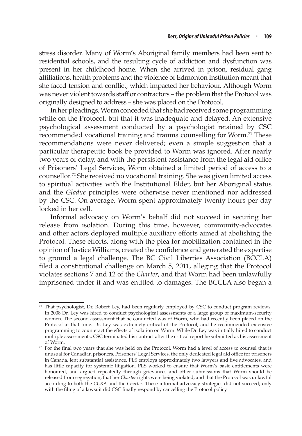stress disorder. Many of Worm's Aboriginal family members had been sent to residential schools, and the resulting cycle of addiction and dysfunction was present in her childhood home. When she arrived in prison, residual gang affiliations, health problems and the violence of Edmonton Institution meant that she faced tension and conflict, which impacted her behaviour. Although Worm was never violent towards staff or contractors – the problem that the Protocol was originally designed to address – she was placed on the Protocol.

In her pleadings, Worm conceded that she had received some programming while on the Protocol, but that it was inadequate and delayed. An extensive psychological assessment conducted by a psychologist retained by CSC recommended vocational training and trauma counselling for Worm.<sup>71</sup> These recommendations were never delivered; even a simple suggestion that a particular therapeutic book be provided to Worm was ignored. After nearly two years of delay, and with the persistent assistance from the legal aid office of Prisoners' Legal Services, Worm obtained a limited period of access to a counsellor.<sup>72</sup> She received no vocational training. She was given limited access to spiritual activities with the Institutional Elder, but her Aboriginal status and the *Gladue* principles were otherwise never mentioned nor addressed by the CSC. On average, Worm spent approximately twenty hours per day locked in her cell.

Informal advocacy on Worm's behalf did not succeed in securing her release from isolation. During this time, however, community-advocates and other actors deployed multiple auxiliary efforts aimed at abolishing the Protocol. These efforts, along with the plea for mobilization contained in the opinion of Justice Williams, created the confidence and generated the expertise to ground a legal challenge. The BC Civil Liberties Association (BCCLA) filed a constitutional challenge on March 5, 2011, alleging that the Protocol violates sections 7 and 12 of the *Charter*, and that Worm had been unlawfully imprisoned under it and was entitled to damages. The BCCLA also began a

That psychologist, Dr. Robert Ley, had been regularly employed by CSC to conduct program reviews. In 2008 Dr. Ley was hired to conduct psychological assessments of a large group of maximum-security women. The second assessment that he conducted was of Worm, who had recently been placed on the Protocol at that time. Dr. Ley was extremely critical of the Protocol, and he recommended extensive programming to counteract the effects of isolation on Worm. While Dr. Ley was initially hired to conduct multiple assessments, CSC terminated his contract after the critical report he submitted as his assessment of Worm.

 $72$  For the final two years that she was held on the Protocol, Worm had a level of access to counsel that is unusual for Canadian prisoners. Prisoners' Legal Services, the only dedicated legal aid office for prisoners in Canada, lent substantial assistance. PLS employs approximately two lawyers and five advocates, and has little capacity for systemic litigation. PLS worked to ensure that Worm's basic entitlements were honoured, and argued repeatedly through grievances and other submissions that Worm should be released from segregation, that her *Charter* rights were being violated, and that the Protocol was unlawful according to both the *CCRA* and the *Charter*. These informal advocacy strategies did not succeed; only with the filing of a lawsuit did CSC finally respond by cancelling the Protocol policy.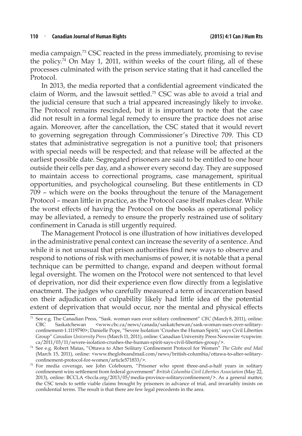media campaign.73 CSC reacted in the press immediately, promising to revise the policy.<sup>74</sup> On May 1, 2011, within weeks of the court filing, all of these processes culminated with the prison service stating that it had cancelled the Protocol.

In 2013, the media reported that a confidential agreement vindicated the claim of Worm, and the lawsuit settled.<sup>75</sup> CSC was able to avoid a trial and the judicial censure that such a trial appeared increasingly likely to invoke. The Protocol remains rescinded, but it is important to note that the case did not result in a formal legal remedy to ensure the practice does not arise again. Moreover, after the cancellation, the CSC stated that it would revert to governing segregation through Commissioner's Directive 709. This CD states that administrative segregation is not a punitive tool; that prisoners with special needs will be respected; and that release will be affected at the earliest possible date. Segregated prisoners are said to be entitled to one hour outside their cells per day, and a shower every second day. They are supposed to maintain access to correctional programs, case management, spiritual opportunities, and psychological counseling. But these entitlements in CD 709 – which were on the books throughout the tenure of the Management Protocol – mean little in practice, as the Protocol case itself makes clear. While the worst effects of having the Protocol on the books as operational policy may be alleviated, a remedy to ensure the properly restrained use of solitary confinement in Canada is still urgently required.

The Management Protocol is one illustration of how initiatives developed in the administrative penal context can increase the severity of a sentence. And while it is not unusual that prison authorities find new ways to observe and respond to notions of risk with mechanisms of power, it is notable that a penal technique can be permitted to change, expand and deepen without formal legal oversight. The women on the Protocol were not sentenced to that level of deprivation, nor did their experience even flow directly from a legislative enactment. The judges who carefully measured a term of incarceration based on their adjudication of culpability likely had little idea of the potential extent of deprivation that would occur, nor the mental and physical effects

<sup>73</sup> See e.g. The Canadian Press, "Sask. woman sues over solitary confinement" *CBC* (March 8, 2011), online: Saskatchewan <www.cbc.ca/news/canada/saskatchewan/sask-woman-sues-over-solitaryconfinement-1.1119790>; Danielle Pope, "Severe Isolation 'Crushes the Human Spirit,' says Civil Liberties Group" *Canadian University Press* (March 11, 2011), online: Canadian University Press Newswire <cupwire. ca/2011/03/11/severe-isolation-crushes-the-human-spirit-says-civil-liberties-group/>.

<sup>74</sup> See e.g. Robert Matas, "Ottawa to Alter Solitary Confinement Protocol for Women" *The Globe and Mail* (March 15, 2011), online: <www.theglobeandmail.com/news/british-columbia/ottawa-to-alter-solitaryconfinement-protocol-for-women/article571833/>.

<sup>75</sup> For media coverage, see John Colebourn, "Prisoner who spent three-and-a-half years in solitary confinement wins settlement from federal government" *British Columbia Civil Liberties Association* (May 22, 2013), online: BCCLA <bccla.org/2013/05/media-province-solitaryconfinement/>. As a general matter, the CSC tends to settle viable claims brought by prisoners in advance of trial, and invariably insists on confidential terms. The result is that there are few legal precedents in the area.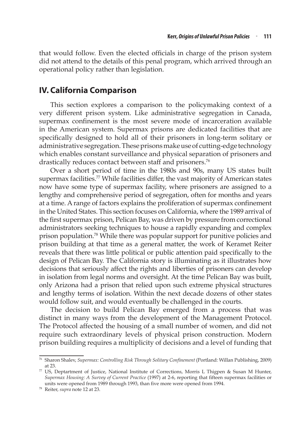that would follow. Even the elected officials in charge of the prison system did not attend to the details of this penal program, which arrived through an operational policy rather than legislation.

### **IV. California Comparison**

This section explores a comparison to the policymaking context of a very different prison system. Like administrative segregation in Canada, supermax confinement is the most severe mode of incarceration available in the American system. Supermax prisons are dedicated facilities that are specifically designed to hold all of their prisoners in long-term solitary or administrative segregation. These prisons make use of cutting-edge technology which enables constant surveillance and physical separation of prisoners and drastically reduces contact between staff and prisoners.<sup>76</sup>

Over a short period of time in the 1980s and 90s, many US states built supermax facilities.<sup>77</sup> While facilities differ, the vast majority of American states now have some type of supermax facility, where prisoners are assigned to a lengthy and comprehensive period of segregation, often for months and years at a time. A range of factors explains the proliferation of supermax confinement in the United States. This section focuses on California, where the 1989 arrival of the first supermax prison, Pelican Bay, was driven by pressure from correctional administrators seeking techniques to house a rapidly expanding and complex prison population.<sup>78</sup> While there was popular support for punitive policies and prison building at that time as a general matter, the work of Keramet Reiter reveals that there was little political or public attention paid specifically to the design of Pelican Bay. The California story is illuminating as it illustrates how decisions that seriously affect the rights and liberties of prisoners can develop in isolation from legal norms and oversight. At the time Pelican Bay was built, only Arizona had a prison that relied upon such extreme physical structures and lengthy terms of isolation. Within the next decade dozens of other states would follow suit, and would eventually be challenged in the courts.

The decision to build Pelican Bay emerged from a process that was distinct in many ways from the development of the Management Protocol. The Protocol affected the housing of a small number of women, and did not require such extraordinary levels of physical prison construction. Modern prison building requires a multiplicity of decisions and a level of funding that

<sup>76</sup> Sharon Shalev, *Supermax: Controlling Risk Through Solitary Confinement* (Portland: Willan Publishing, 2009) at 23.

 $77$  US, Deptartment of Justice, National Institute of Corrections, Morris L Thigpen & Susan M Hunter, *Supermax Housing: A Survey of Current Practice* (1997) at 2-6, reporting that fifteen supermax facilities or units were opened from 1989 through 1993, than five more were opened from 1994.

<sup>78</sup> Reiter, *supra* note 12 at 23.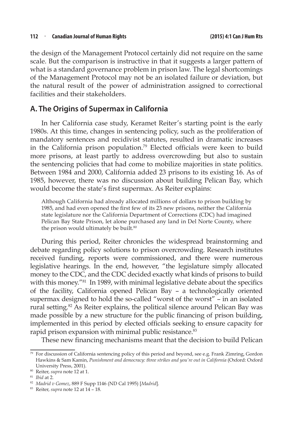the design of the Management Protocol certainly did not require on the same scale. But the comparison is instructive in that it suggests a larger pattern of what is a standard governance problem in prison law. The legal shortcomings of the Management Protocol may not be an isolated failure or deviation, but the natural result of the power of administration assigned to correctional facilities and their stakeholders.

### **A. The Origins of Supermax in California**

In her California case study, Keramet Reiter's starting point is the early 1980s. At this time, changes in sentencing policy, such as the proliferation of mandatory sentences and recidivist statutes, resulted in dramatic increases in the California prison population.79 Elected officials were keen to build more prisons, at least partly to address overcrowding but also to sustain the sentencing policies that had come to mobilize majorities in state politics. Between 1984 and 2000, California added 23 prisons to its existing 16. As of 1985, however, there was no discussion about building Pelican Bay, which would become the state's first supermax. As Reiter explains:

Although California had already allocated millions of dollars to prison building by 1985, and had even opened the first few of its 23 new prisons, neither the California state legislature nor the California Department of Corrections (CDC) had imagined Pelican Bay State Prison, let alone purchased any land in Del Norte County, where the prison would ultimately be built.<sup>80</sup>

During this period, Reiter chronicles the widespread brainstorming and debate regarding policy solutions to prison overcrowding. Research institutes received funding, reports were commissioned, and there were numerous legislative hearings. In the end, however, "the legislature simply allocated money to the CDC, and the CDC decided exactly what kinds of prisons to build with this money.<sup>"81</sup> In 1989, with minimal legislative debate about the specifics of the facility, California opened Pelican Bay – a technologically oriented supermax designed to hold the so-called "worst of the worst" – in an isolated rural setting.<sup>82</sup> As Reiter explains, the political silence around Pelican Bay was made possible by a new structure for the public financing of prison building, implemented in this period by elected officials seeking to ensure capacity for rapid prison expansion with minimal public resistance.<sup>83</sup>

These new financing mechanisms meant that the decision to build Pelican

<sup>79</sup> For discussion of California sentencing policy of this period and beyond, see e.g. Frank Zimring, Gordon Hawkins & Sam Kamin, *Punishment and democracy: three strikes and you're out in California* (Oxford: Oxford University Press, 2001).

<sup>80</sup> Reiter, *supra* note 12 at 1.

<sup>81</sup> *Ibid* at 2.

<sup>82</sup> *Madrid v Gomez*, 889 F Supp 1146 (ND Cal 1995) [*Madrid*].

<sup>83</sup> Reiter, *supra* note 12 at 14 – 18.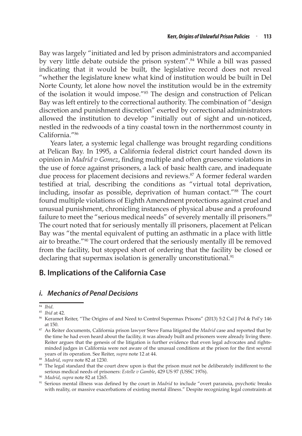Bay was largely "initiated and led by prison administrators and accompanied by very little debate outside the prison system".<sup>84</sup> While a bill was passed indicating that it would be built, the legislative record does not reveal "whether the legislature knew what kind of institution would be built in Del Norte County, let alone how novel the institution would be in the extremity of the isolation it would impose."85 The design and construction of Pelican Bay was left entirely to the correctional authority. The combination of "design discretion and punishment discretion" exerted by correctional administrators allowed the institution to develop "initially out of sight and un-noticed, nestled in the redwoods of a tiny coastal town in the northernmost county in California."86

Years later, a systemic legal challenge was brought regarding conditions at Pelican Bay. In 1995, a California federal district court handed down its opinion in *Madrid v Gomez*, finding multiple and often gruesome violations in the use of force against prisoners, a lack of basic health care, and inadequate due process for placement decisions and reviews.<sup>87</sup> A former federal warden testified at trial, describing the conditions as "virtual total deprivation, including, insofar as possible, deprivation of human contact."<sup>88</sup> The court found multiple violations of Eighth Amendment protections against cruel and unusual punishment, chronicling instances of physical abuse and a profound failure to meet the "serious medical needs" of severely mentally ill prisoners.<sup>89</sup> The court noted that for seriously mentally ill prisoners, placement at Pelican Bay was "the mental equivalent of putting an asthmatic in a place with little air to breathe."90 The court ordered that the seriously mentally ill be removed from the facility, but stopped short of ordering that the facility be closed or declaring that supermax isolation is generally unconstitutional.<sup>91</sup>

## **B. Implications of the California Case**

### *i. Mechanics of Penal Decisions*

<sup>84</sup> *Ibid*.

<sup>85</sup> *Ibid* at 42.

<sup>86</sup> Keramet Reiter, "The Origins of and Need to Control Supermax Prisons" (2013) 5:2 Cal J Pol & Pol'y 146 at 150.

<sup>87</sup> As Reiter documents, California prison lawyer Steve Fama litigated the *Madrid* case and reported that by the time he had even heard about the facility, it was already built and prisoners were already living there. Reiter argues that the genesis of the litigation is further evidence that even legal advocates and rightsminded judges in California were not aware of the unusual conditions at the prison for the first several years of its operation. See Reiter, *supra* note 12 at 44.

<sup>&</sup>lt;sup>89</sup> The legal standard that the court drew upon is that the prison must not be deliberately indifferent to the serious medical needs of prisoners: *Estelle v Gamble*, 429 US 97 (USSC 1976).

<sup>90</sup> *Madrid*, *supra* note 82 at 1265.

<sup>&</sup>lt;sup>91</sup> Serious mental illness was defined by the court in *Madrid* to include "overt paranoia, psychotic breaks with reality, or massive exacerbations of existing mental illness." Despite recognizing legal constraints at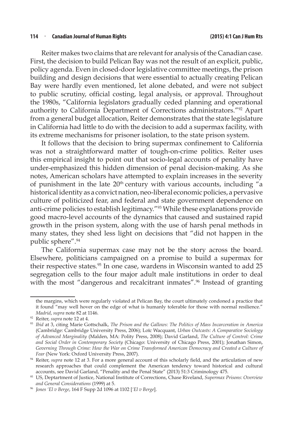#### **114** <sup>n</sup> **Canadian Journal of Human Rights (2015) 4:1 Can J Hum Rts**

Reiter makes two claims that are relevant for analysis of the Canadian case. First, the decision to build Pelican Bay was not the result of an explicit, public, policy agenda. Even in closed-door legislative committee meetings, the prison building and design decisions that were essential to actually creating Pelican Bay were hardly even mentioned, let alone debated, and were not subject to public scrutiny, official costing, legal analysis, or approval. Throughout the 1980s, "California legislators gradually ceded planning and operational authority to California Department of Corrections administrators."<sup>92</sup> Apart from a general budget allocation, Reiter demonstrates that the state legislature in California had little to do with the decision to add a supermax facility, with its extreme mechanisms for prisoner isolation, to the state prison system.

It follows that the decision to bring supermax confinement to California was not a straightforward matter of tough-on-crime politics. Reiter uses this empirical insight to point out that socio-legal accounts of penality have under-emphasized this hidden dimension of penal decision-making. As she notes, American scholars have attempted to explain increases in the severity of punishment in the late  $20<sup>th</sup>$  century with various accounts, including "a historical identity as a convict nation, neo-liberal economic policies, a pervasive culture of politicized fear, and federal and state government dependence on anti-crime policies to establish legitimacy."<sup>93</sup> While these explanations provide good macro-level accounts of the dynamics that caused and sustained rapid growth in the prison system, along with the use of harsh penal methods in many states, they shed less light on decisions that "did not happen in the public sphere".<sup>94</sup>

The California supermax case may not be the story across the board. Elsewhere, politicians campaigned on a promise to build a supermax for their respective states.<sup>95</sup> In one case, wardens in Wisconsin wanted to add 25 segregation cells to the four major adult male institutions in order to deal with the most "dangerous and recalcitrant inmates".<sup>96</sup> Instead of granting

the margins, which were regularly violated at Pelican Bay, the court ultimately condoned a practice that it found "may well hover on the edge of what is humanly tolerable for those with normal resilience." *Madrid*, *supra* note 82 at 1146.

<sup>92</sup> Reiter, *supra* note 12 at 4.

<sup>93</sup> *Ibid* at 3, citing Marie Gottschalk, *The Prison and the Gallows: The Politics of Mass Incarceration in America* (Cambridge: Cambridge University Press, 2006); Loïc Wacquant, *Urban Outcasts: A Comparative Sociology of Advanced Marginality* (Malden, MA: Polity Press, 2008); David Garland, *The Culture of Control: Crime and Social Order in Contemporary Society* (Chicago: University of Chicago Press, 2001); Jonathan Simon, *Governing Through Crime: How the War on Crime Transformed American Democracy and Created a Culture of Fear* (New York: Oxford University Press, 2007).

<sup>&</sup>lt;sup>94</sup> Reiter, *supra* note 12 at 3. For a more general account of this scholarly field, and the articulation of new research approaches that could complement the American tendency toward historical and cultural accounts, see David Garland, "Penality and the Penal State" (2013) 51:3 Criminology 475.

<sup>95</sup> US, Deptartment of Justice, National Institute of Corrections, Chase Riveland, *Supermax Prisons: Overview and General Considerations* (1999) at 5. 96 *Jones 'El v Berge*, 164 F Supp 2d 1096 at 1102 [*'El v Berge*].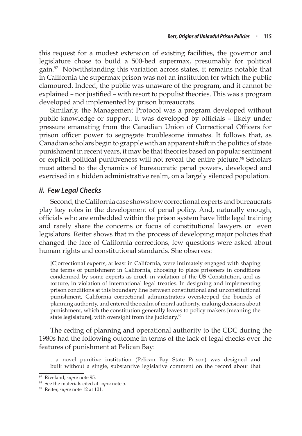this request for a modest extension of existing facilities, the governor and legislature chose to build a 500-bed supermax, presumably for political gain.<sup>97</sup> Notwithstanding this variation across states, it remains notable that in California the supermax prison was not an institution for which the public clamoured. Indeed, the public was unaware of the program, and it cannot be explained – nor justified – with resort to populist theories. This was a program developed and implemented by prison bureaucrats.

Similarly, the Management Protocol was a program developed without public knowledge or support. It was developed by officials – likely under pressure emanating from the Canadian Union of Correctional Officers for prison officer power to segregate troublesome inmates. It follows that, as Canadian scholars begin to grapple with an apparent shift in the politics of state punishment in recent years, it may be that theories based on popular sentiment or explicit political punitiveness will not reveal the entire picture.<sup>98</sup> Scholars must attend to the dynamics of bureaucratic penal powers, developed and exercised in a hidden administrative realm, on a largely silenced population.

### *ii. Few Legal Checks*

Second, the California case shows how correctional experts and bureaucrats play key roles in the development of penal policy. And, naturally enough, officials who are embedded within the prison system have little legal training and rarely share the concerns or focus of constitutional lawyers or even legislators. Reiter shows that in the process of developing major policies that changed the face of California corrections, few questions were asked about human rights and constitutional standards. She observes:

[C]orrectional experts, at least in California, were intimately engaged with shaping the terms of punishment in California, choosing to place prisoners in conditions condemned by some experts as cruel, in violation of the US Constitution, and as torture, in violation of international legal treaties. In designing and implementing prison conditions at this boundary line between constitutional and unconstitutional punishment, California correctional administrators overstepped the bounds of planning authority, and entered the realm of moral authority, making decisions about punishment, which the constitution generally leaves to policy makers [meaning the state legislature], with oversight from the judiciary.<sup>99</sup>

The ceding of planning and operational authority to the CDC during the 1980s had the following outcome in terms of the lack of legal checks over the features of punishment at Pelican Bay:

…a novel punitive institution (Pelican Bay State Prison) was designed and built without a single, substantive legislative comment on the record about that

<sup>97</sup> Riveland, *supra* note 95.

<sup>98</sup> See the materials cited at *supra* note 5. 99 Reiter, *supra* note 12 at 101.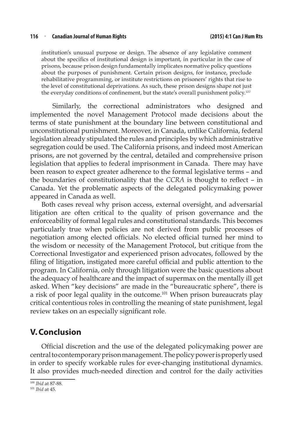#### **116** <sup>n</sup> **Canadian Journal of Human Rights (2015) 4:1 Can J Hum Rts**

institution's unusual purpose or design. The absence of any legislative comment about the specifics of institutional design is important, in particular in the case of prisons, because prison design fundamentally implicates normative policy questions about the purposes of punishment. Certain prison designs, for instance, preclude rehabilitative programming, or institute restrictions on prisoners' rights that rise to the level of constitutional deprivations. As such, these prison designs shape not just the everyday conditions of confinement, but the state's overall punishment policy.<sup>100</sup>

Similarly, the correctional administrators who designed and implemented the novel Management Protocol made decisions about the terms of state punishment at the boundary line between constitutional and unconstitutional punishment. Moreover, in Canada, unlike California, federal legislation already stipulated the rules and principles by which administrative segregation could be used. The California prisons, and indeed most American prisons, are not governed by the central, detailed and comprehensive prison legislation that applies to federal imprisonment in Canada. There may have been reason to expect greater adherence to the formal legislative terms – and the boundaries of constitutionality that the *CCRA* is thought to reflect – in Canada. Yet the problematic aspects of the delegated policymaking power appeared in Canada as well.

Both cases reveal why prison access, external oversight, and adversarial litigation are often critical to the quality of prison governance and the enforceability of formal legal rules and constitutional standards. This becomes particularly true when policies are not derived from public processes of negotiation among elected officials. No elected official turned her mind to the wisdom or necessity of the Management Protocol, but critique from the Correctional Investigator and experienced prison advocates, followed by the filing of litigation, instigated more careful official and public attention to the program. In California, only through litigation were the basic questions about the adequacy of healthcare and the impact of supermax on the mentally ill get asked. When "key decisions" are made in the "bureaucratic sphere", there is a risk of poor legal quality in the outcome.<sup>101</sup> When prison bureaucrats play critical contentious roles in controlling the meaning of state punishment, legal review takes on an especially significant role.

### **V.Conclusion**

Official discretion and the use of the delegated policymaking power are central to contemporary prison management. The policy power is properly used in order to specify workable rules for ever-changing institutional dynamics. It also provides much-needed direction and control for the daily activities

<sup>100</sup> *Ibid* at 87-88.

<sup>101</sup> *Ibid* at 45.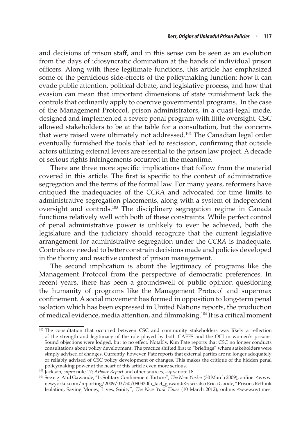and decisions of prison staff, and in this sense can be seen as an evolution from the days of idiosyncratic domination at the hands of individual prison officers. Along with these legitimate functions, this article has emphasized some of the pernicious side-effects of the policymaking function: how it can evade public attention, political debate, and legislative process, and how that evasion can mean that important dimensions of state punishment lack the controls that ordinarily apply to coercive governmental programs. In the case of the Management Protocol, prison administrators, in a quasi-legal mode, designed and implemented a severe penal program with little oversight. CSC allowed stakeholders to be at the table for a consultation, but the concerns that were raised were ultimately not addressed.<sup>102</sup> The Canadian legal order eventually furnished the tools that led to rescission, confirming that outside actors utilizing external levers are essential to the prison law project. A decade of serious rights infringements occurred in the meantime.

There are three more specific implications that follow from the material covered in this article. The first is specific to the context of administrative segregation and the terms of the formal law. For many years, reformers have critiqued the inadequacies of the *CCRA* and advocated for time limits to administrative segregation placements, along with a system of independent oversight and controls.103 The disciplinary segregation regime in Canada functions relatively well with both of these constraints. While perfect control of penal administrative power is unlikely to ever be achieved, both the legislature and the judiciary should recognize that the current legislative arrangement for administrative segregation under the *CCRA* is inadequate. Controls are needed to better constrain decisions made and policies developed in the thorny and reactive context of prison management.

The second implication is about the legitimacy of programs like the Management Protocol from the perspective of democratic preferences. In recent years, there has been a groundswell of public opinion questioning the humanity of programs like the Management Protocol and supermax confinement. A social movement has formed in opposition to long-term penal isolation which has been expressed in United Nations reports, the production of medical evidence, media attention, and filmmaking.<sup>104</sup> It is a critical moment

<sup>&</sup>lt;sup>102</sup> The consultation that occurred between CSC and community stakeholders was likely a reflection of the strength and legitimacy of the role played by both CAEFS and the OCI in women's prisons. Sound objections were lodged, but to no effect. Notably, Kim Pate reports that CSC no longer conducts consultations about policy development. The practice shifted first to "briefings" where stakeholders were simply advised of changes. Currently, however, Pate reports that external parties are no longer adequately or reliably advised of CSC policy development or changes. This makes the critique of the hidden penal policymaking power at the heart of this article even more serious.

<sup>103</sup> Jackson, *supra* note 17; *Arbour Report* and other sources, *supra* note 18.

<sup>104</sup> See e.g. Atul Gawande, "Is Solitary Confinement Torture", *The New Yorker* (30 March 2009), online: <www. newyorker.com/reporting/2009/03/30/090330fa\_fact\_gawande>; see also Erica Goode, "Prisons Rethink Isolation, Saving Money, Lives, Sanity", *The New York Times* (10 March 2012), online: <www.nytimes.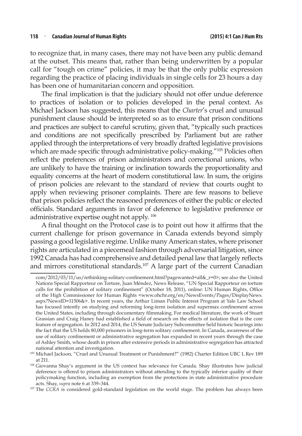to recognize that, in many cases, there may not have been any public demand at the outset. This means that, rather than being underwritten by a popular call for "tough on crime" policies, it may be that the only public expression regarding the practice of placing individuals in single cells for 23 hours a day has been one of humanitarian concern and opposition.

The final implication is that the judiciary should not offer undue deference to practices of isolation or to policies developed in the penal context. As Michael Jackson has suggested, this means that the *Charter*'s cruel and unusual punishment clause should be interpreted so as to ensure that prison conditions and practices are subject to careful scrutiny, given that, "typically such practices and conditions are not specifically prescribed by Parliament but are rather applied through the interpretations of very broadly drafted legislative provisions which are made specific through administrative policy-making."<sup>105</sup> Policies often reflect the preferences of prison administrators and correctional unions, who are unlikely to have the training or inclination towards the proportionality and equality concerns at the heart of modern constitutional law. In sum, the origins of prison policies are relevant to the standard of review that courts ought to apply when reviewing prisoner complaints. There are few reasons to believe that prison policies reflect the reasoned preferences of either the public or elected officials. Standard arguments in favor of deference to legislative preference or administrative expertise ought not apply. <sup>106</sup>

A final thought on the Protocol case is to point out how it affirms that the current challenge for prison governance in Canada extends beyond simply passing a good legislative regime. Unlike many American states, where prisoner rights are articulated in a piecemeal fashion through adversarial litigation, since 1992 Canada has had comprehensive and detailed penal law that largely reflects and mirrors constitutional standards.107 A large part of the current Canadian

com/2012/03/11/us/rethinking-solitary-confinement.html?pagewanted=all&\_r=0>; see also the United Nations Special Rapporteur on Torture, Juan Méndez, News Release, "UN Special Rapporteur on torture calls for the prohibition of solitary confinement" (October 18, 2011), online: UN Human Rights, Office of the High Commissioner for Human Rights <www.ohchr.org/en/NewsEvents/Pages/DisplayNews. aspx?NewsID=11506&>. In recent years, the Arthur Liman Public Interest Program at Yale Law School has focused intently on studying and reforming long-term isolation and supermax confinement across the United States, including through documentary filmmaking. For medical literature, the work of Stuart Grassian and Craig Haney had established a field of research on the effects of isolation that is the core feature of segregation. In 2012 and 2014, the US Senate Judiciary Subcommittee held historic hearings into the fact that the US holds 80,000 prisoners in long-term solitary confinement. In Canada, awareness of the use of solitary confinement or administrative segregation has expanded in recent years through the case of Ashley Smith, whose death in prison after extensive periods in administrative segregation has attracted national attention and investigation.

<sup>105</sup> Michael Jackson, "Cruel and Unusual Treatment or Punishment?" (1982) Charter Edition UBC L Rev 189 at 211.

<sup>106</sup> Giovanna Shay's argument in the US context has relevance for Canada. Shay illustrates how judicial deference is offered to prison administrators without attending to the typically inferior quality of their policymaking function, including an exemption from the protections in state administrative procedure acts. Shay, *supra* note 6 at 339–344.

<sup>&</sup>lt;sup>107</sup> The *CCRA* is considered gold-standard legislation on the world stage. The problem has always been